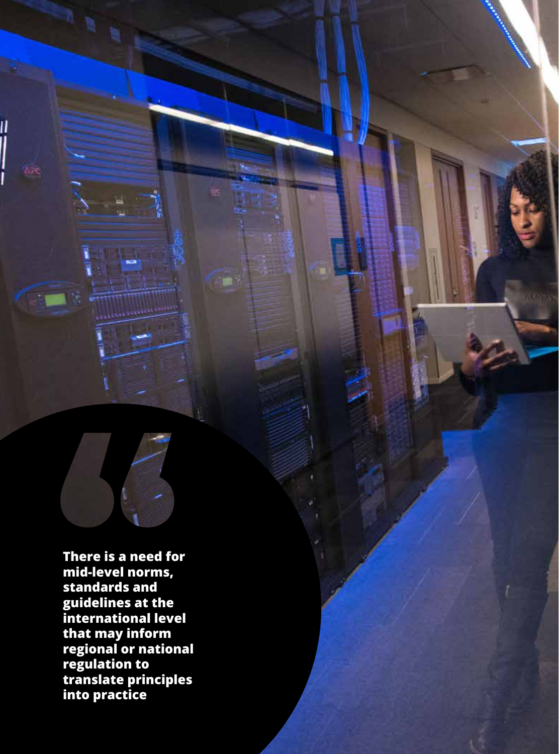**There is a need for mid-level norms, standards and guidelines at the international level that may inform regional or national regulation to translate principles into practice**

||<br>|<br>|

pre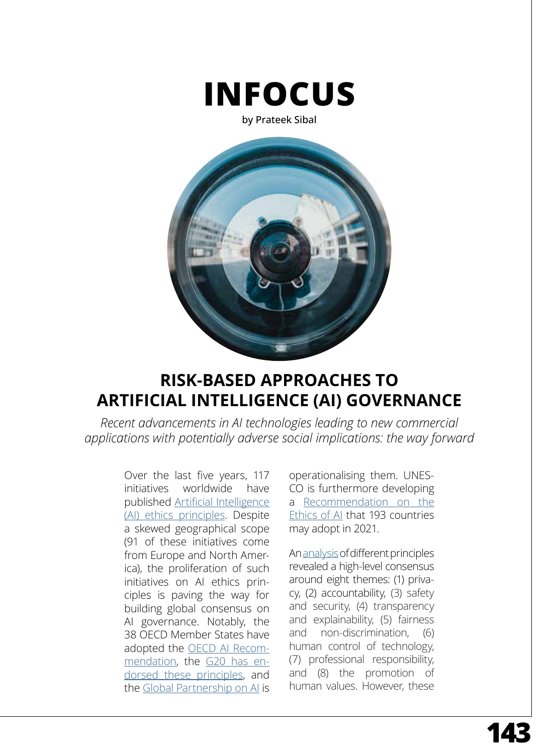

by Prateek Sibal



# **RISK-BASED APPROACHES TO ARTIFICIAL INTELLIGENCE (AI) GOVERNANCE**

*Recent advancements in AI technologies leading to new commercial applications with potentially adverse social implications: the way forward*

> Over the last five years, 117 initiatives worldwide have published [Artificial Intelligence](https://aiethicslab.com/big-picture/)  [\(AI\) ethics principles](https://aiethicslab.com/big-picture/). Despite a skewed geographical scope (91 of these initiatives come from Europe and North America), the proliferation of such initiatives on AI ethics principles is paving the way for building global consensus on AI governance. Notably, the 38 OECD Member States have adopted the [OECD AI Recom](https://www.oecd.org/going-digital/ai/principles/)[mendation](https://www.oecd.org/going-digital/ai/principles/), the [G20 has en](https://oecd-innovation-blog.com/2020/07/24/g20-artificial-intelligence-ai-principles-oecd-report/)[dorsed these principles,](https://oecd-innovation-blog.com/2020/07/24/g20-artificial-intelligence-ai-principles-oecd-report/) and the [Global Partnership on AI](https://gpai.ai/) is

operationalising them. UNES-CO is furthermore developing a [Recommendation on the](https://en.unesco.org/artificial-intelligence/ethics)  [Ethics of AI](https://en.unesco.org/artificial-intelligence/ethics) that 193 countries may adopt in 2021.

An [analysis](https://dash.harvard.edu/handle/1/42160420) of different principles revealed a high-level consensus around eight themes: (1) privacy, (2) accountability, (3) safety and security, (4) transparency and explainability, (5) fairness and non-discrimination, (6) human control of technology, (7) professional responsibility, and (8) the promotion of human values. However, these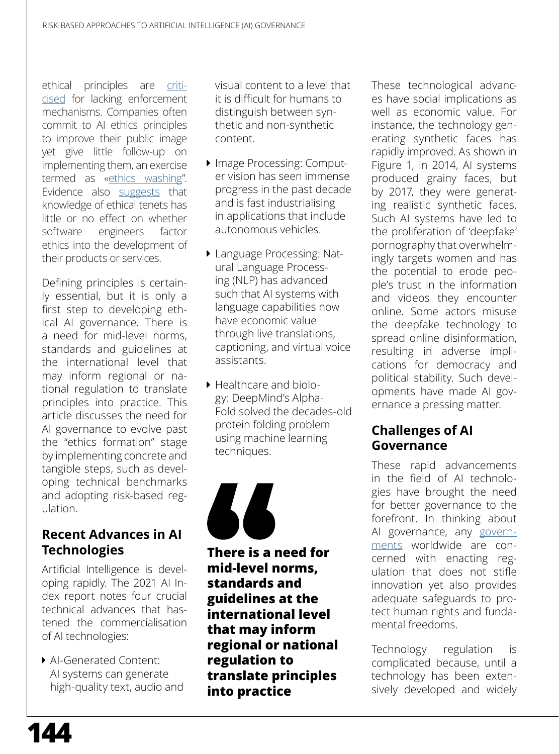ethical principles are [criti](https://arxiv.org/abs/1903.03425)[cised](https://arxiv.org/abs/1903.03425) for lacking enforcement mechanisms. Companies often commit to AI ethics principles to improve their public image yet give little follow-up on implementing them, an exercise termed as [«ethics washing](https://www.technologyreview.com/2019/12/27/57/ai-ethics-washing-time-to-act/)". Evidence also [suggests](https://arxiv.org/abs/1903.03425) that knowledge of ethical tenets has little or no effect on whether software engineers factor ethics into the development of their products or services.

Defining principles is certainly essential, but it is only a first step to developing ethical AI governance. There is a  [need](https://www.nature.com/articles/s42256-019-0114-4) for mid-level norms, standards and guidelines at the international level that may inform regional or national regulation to translate principles into practice. This article discusses the need for AI governance to evolve past the "ethics formation" stage by implementing concrete and tangible steps, such as developing technical benchmarks and adopting risk-based regulation.

## **Recent Advances in AI Technologies**

Artificial Intelligence is developing rapidly. The  [2021 AI In](https://aiindex.stanford.edu/report/)[dex report](https://aiindex.stanford.edu/report/) notes four crucial technical advances that hastened the commercialisation of AI technologies:

▶ AI-Generated Content: AI systems can generate high-quality text, audio and visual content to a level that it is difficult for humans to distinguish between synthetic and non-synthetic content.

- Image Processing: [Comput](https://www.techopedia.com/definition/32309/computer-vision)[er vision](https://www.techopedia.com/definition/32309/computer-vision) has seen immense progress in the past decade and is fast industrialising in applications that include autonomous vehicles.
- **Language Processing: [Nat](https://www.ibm.com/cloud/learn/natural-language-processing)**[ural Language Process](https://www.ibm.com/cloud/learn/natural-language-processing)[ing](https://www.ibm.com/cloud/learn/natural-language-processing) (NLP) has advanced such that AI systems with language capabilities now have economic value through live translations, captioning, and [virtual voice](https://medium.com/voice-tech-podcast/how-virtual-assistant-may-become-the-next-big-thing-eb895ebb4329)  [assistants.](https://medium.com/voice-tech-podcast/how-virtual-assistant-may-become-the-next-big-thing-eb895ebb4329)
- $\blacktriangleright$  Healthcare and biology: DeepMind's [Alpha](https://deepmind.com/blog/article/AlphaFold-Using-AI-for-scientific-discovery)-[Fold](https://deepmind.com/blog/article/AlphaFold-Using-AI-for-scientific-discovery) solved the decades-old protein folding problem using machine learning techniques.



**There is a [need](https://www.nature.com/articles/s42256-019-0114-4) for mid-level norms, standards and guidelines at the international level that may inform regional or national regulation to translate principles into practice**

These technological advances have social implications as well as economic value. For instance, the technology generating synthetic faces has rapidly improved. As shown in Figure 1, in 2014, AI systems produced grainy faces, but by 2017, they were generating  [realistic synthetic faces](https://arxiv.org/pdf/1802.07228.pdf). Such AI systems have led to the proliferation of ['deepfake'](https://www.bbc.com/news/technology-42912529)  [pornography](https://www.bbc.com/news/technology-42912529) that overwhelmingly targets women and has the potential to erode people's  [trust](https://phys.org/news/2019-02-deepfake-videos-societyhere.html)  in the information and videos they encounter online. Some actors misuse the deepfake technology to spread online disinformation, resulting in adverse  [impli](https://papers.ssrn.com/sol3/papers.cfm?abstract_id=3213954)[cations](https://papers.ssrn.com/sol3/papers.cfm?abstract_id=3213954)  for democracy and political stability. Such developments have made AI governance a pressing matter.

# **Challenges of AI Governance**

These rapid advancements in the field of AI technologies have brought the need for better governance to the forefront. In thinking about AI governance, any [govern](https://ec.europa.eu/commission/presscorner/detail/en/QANDA_21_1683)[ments](https://ec.europa.eu/commission/presscorner/detail/en/QANDA_21_1683)  worldwide are concerned with enacting regulation that does not stifle innovation yet also provides adequate safeguards to protect human rights and fundamental freedoms.

Technology regulation is [complicated](https://techliberation.com/2018/08/16/the-pacing-problem-the-collingridge-dilemma-technological-determinism/) because, until a technology has been extensively developed and widely

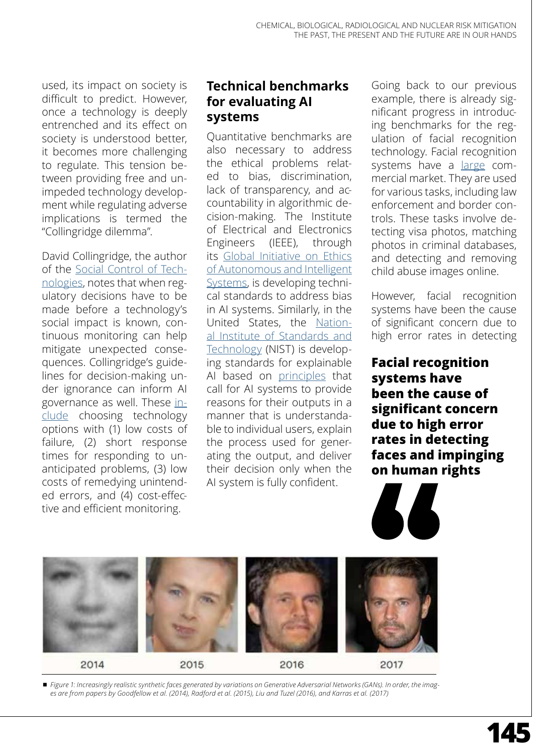used, its impact on society is difficult to predict. However, once a technology is deeply entrenched and its effect on society is understood better, it becomes more challenging to regulate. This tension between providing free and unimpeded technology development while regulating adverse implications is termed the "[Collingridge dilemma](https://books.google.fr/books/about/The_Social_Control_of_Technology.html?id=2q_uAAAAMAAJ&redir_esc=y)".

David Collingridge, the author of the [Social Control of Tech](https://books.google.fr/books/about/The_Social_Control_of_Technology.html?id=hCSdAQAACAAJ&redir_esc=y)[nologies](https://books.google.fr/books/about/The_Social_Control_of_Technology.html?id=hCSdAQAACAAJ&redir_esc=y), notes that when regulatory decisions have to be made before a technology's social impact is known, continuous monitoring can help mitigate unexpected consequences. Collingridge's guidelines for decision-making under ignorance can inform AI governance as well. These [in](https://unesdoc.unesco.org/ark:/48223/pf0000372132)[clude](https://unesdoc.unesco.org/ark:/48223/pf0000372132) choosing technology options with (1) low costs of failure, (2) short response times for responding to unanticipated problems, (3) low costs of remedying unintended errors, and (4) cost-effective and efficient monitoring.

# **Technical benchmarks for evaluating AI systems**

Quantitative benchmarks are also necessary to address the ethical problems related to bias, discrimination, lack of transparency, and accountability in algorithmic decision-making. The Institute of Electrical and Electronics Engineers (IEEE), through its [Global Initiative on Ethics](https://standards.ieee.org/industry-connections/ec/autonomous-systems.html) [of Autonomous and Intelligent](https://standards.ieee.org/industry-connections/ec/autonomous-systems.html) [Systems,](https://standards.ieee.org/industry-connections/ec/autonomous-systems.html) is developing technical standards to address bias in AI systems. Similarly, in the United States, the [Nation](https://www.nist.gov/topics/artificial-intelligence/plan-federal-engagement-developing-ai-technical-standards-and-related)[al Institute of Standards and](https://www.nist.gov/topics/artificial-intelligence/plan-federal-engagement-developing-ai-technical-standards-and-related) [Technology](https://www.nist.gov/topics/artificial-intelligence/plan-federal-engagement-developing-ai-technical-standards-and-related) (NIST) is developing standards for explainable AI based on [principles](https://www.nist.gov/news-events/news/2020/08/nist-asks-ai-explain-itself)  that call for AI systems to provide reasons for their outputs in a manner that is understandable to individual users, explain the process used for generating the output, and deliver their decision only when the AI system is fully confident.

Going back to our previous example, there is already significant progress in introducing benchmarks for the regulation of facial recognition technology. Facial recognition systems have a [large](https://www.fortunebusinessinsights.com/industry-reports/facial-recognition-market-101061) commercial market. They are used for various tasks, including law enforcement and border controls. These tasks involve detecting visa photos, matching photos in criminal databases, and detecting and removing child abuse images online.

However, facial recognition systems have been the cause of significant concern due to high error rates in detecting

**Facial recognition systems have been the cause of significant concern due to high error rates in detecting faces and impinging on human rights**



¾ *Figure 1: Increasingly realistic synthetic faces generated by variations on Generative Adversarial Networks (GANs). In order, the images are from papers by Goodfellow et al. (2014), Radford et al. (2015), Liu and Tuzel (2016), and Karras et al. (2017)*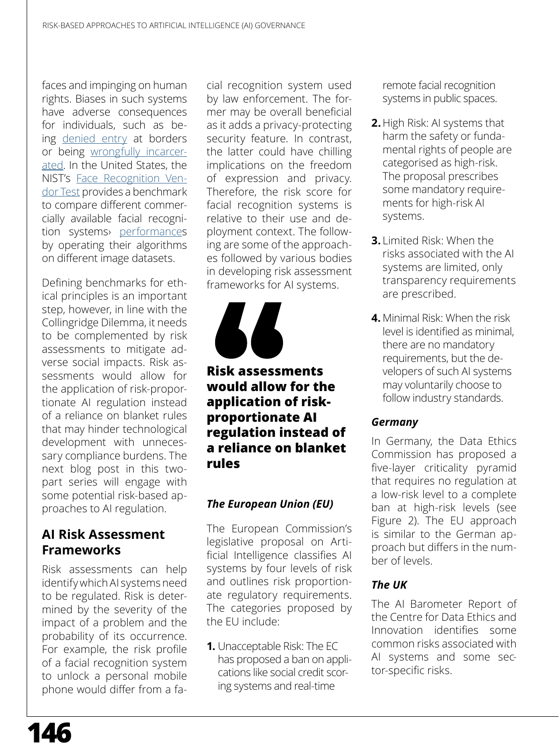faces and impinging on human rights. Biases in such systems have adverse consequences for individuals, such as being [denied entry](https://theconversation.com/ai-facial-analysis-is-scientifically-questionable-should-we-be-using-it-for-border-control-155474)  at borders or being [wrongfully incarcer](https://www.nytimes.com/2020/06/24/technology/facial-recognition-arrest.html)[ated](https://www.nytimes.com/2020/06/24/technology/facial-recognition-arrest.html). In the United States, the NIST's [Face Recognition Ven](https://www.nist.gov/programs-projects/face-recognition-vendor-test-frvt)[dor Test](https://www.nist.gov/programs-projects/face-recognition-vendor-test-frvt) provides a benchmark to compare different commercially available facial recognition systems<sup>, [performance](https://pages.nist.gov/frvt/html/frvt11.html)s</sup> by operating their algorithms on different image datasets.

Defining benchmarks for ethical principles is an important step, however, in line with the Collingridge Dilemma, it needs to be complemented by risk assessments to mitigate adverse social impacts. Risk assessments would allow for the application of risk-proportionate AI regulation instead of a reliance on blanket rules that may hinder technological development with unnecessary compliance burdens. The next blog post in this twopart series will engage with some potential risk-based approaches to AI regulation.

## **AI Risk Assessment Frameworks**

Risk assessments can help identify which AI systems need to be regulated. Risk is [deter](https://www.nasa.gov/sites/default/files/atoms/files/s3001_guidelines_for_risk_management_-_ver_g_-_10-25-2017.pdf)[mined](https://www.nasa.gov/sites/default/files/atoms/files/s3001_guidelines_for_risk_management_-_ver_g_-_10-25-2017.pdf)  by the severity of the impact of a problem and the probability of its occurrence. For example, the risk profile of a facial recognition system to unlock a personal mobile phone would differ from a fa-

cial recognition system used by law enforcement. The former may be overall beneficial as it adds a privacy-protecting security feature. In contrast, the latter could have chilling implications on the freedom of expression and privacy. Therefore, the risk score for facial recognition systems is relative to their use and deployment context. The following are some of the approaches followed by various bodies in developing risk assessment frameworks for AI systems.



## **Risk assessments would allow for the application of riskproportionate AI regulation instead of a reliance on blanket rules**

### *The European Union (EU)*

The European Commission's [legislative proposal on Arti](https://ec.europa.eu/newsroom/dae/items/709090)[ficial Intelligence](https://ec.europa.eu/newsroom/dae/items/709090) classifies AI systems by four levels of risk and outlines risk proportionate regulatory requirements. The categories proposed by the EU [include](https://ec.europa.eu/commission/presscorner/detail/en/QANDA_21_1683):

**1.** Unacceptable Risk: The EC has proposed a ban on applications like social credit scoring systems and real-time

remote facial recognition systems in public spaces.

- **2.** High Risk: AI systems that harm the safety or fundamental rights of people are categorised as high-risk. The proposal prescribes some [mandatory require](https://ec.europa.eu/commission/presscorner/detail/en/QANDA_21_1683)[ments](https://ec.europa.eu/commission/presscorner/detail/en/QANDA_21_1683) for high-risk AI systems.
- **3.** Limited Risk: When the risks associated with the AI systems are limited, only transparency requirements are prescribed.
- **4.** Minimal Risk: When the risk level is identified as minimal, there are no mandatory requirements, but the developers of such AI systems may voluntarily choose to follow industry standards.

#### *Germany*

In Germany, the  [Data Ethics](https://www.bmjv.de/SharedDocs/Downloads/DE/Themen/Fokusthemen/Gutachten_DEK_EN.pdf?__blob=publicationFile&v=2) [Commission](https://www.bmjv.de/SharedDocs/Downloads/DE/Themen/Fokusthemen/Gutachten_DEK_EN.pdf?__blob=publicationFile&v=2)  has proposed a five-layer criticality pyramid that requires no regulation at a low-risk level to a complete ban at high-risk levels (see Figure 2). The EU approach is similar to the German approach but differs in the number of levels.

### *The UK*

The [AI Barometer Report](https://www.gov.uk/government/publications/cdei-ai-barometer) of the [Centre for Data Ethics and](https://www.gov.uk/government/organisations/centre-for-data-ethics-and-innovation) [Innovation](https://www.gov.uk/government/organisations/centre-for-data-ethics-and-innovation) identifies some common risks associated with AI systems and some sector-specific risks.

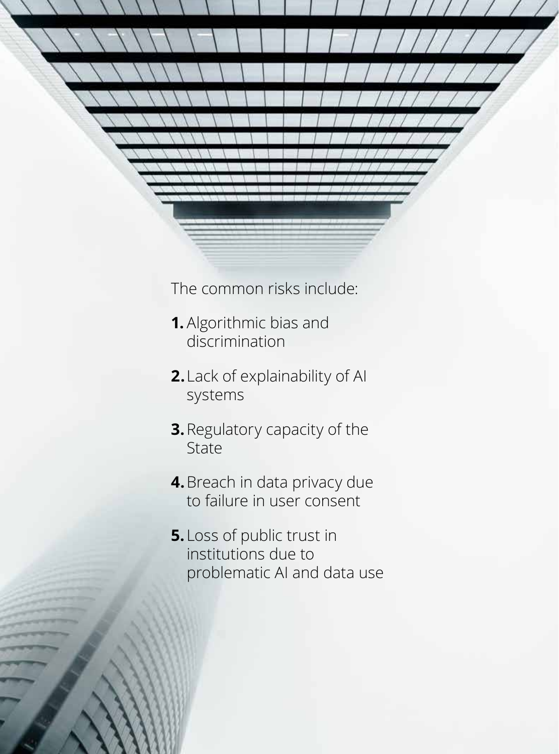The common risks include:

CHEMICAL, BIOLOGICAL, RADIOLOGICAL AND NUCLEAR RISK MITIGATION

 $T$  Past,  $T$   $T$   $T$   $T$   $T$   $T$   $T$ 

- **1.** Algorithmic bias and discrimination
- **2.**Lack of explainability of AI systems
- **3.**Regulatory capacity of the State
- **4.**Breach in data privacy due to failure in user consent
- **5.** Loss of public trust in institutions due to problematic AI and data use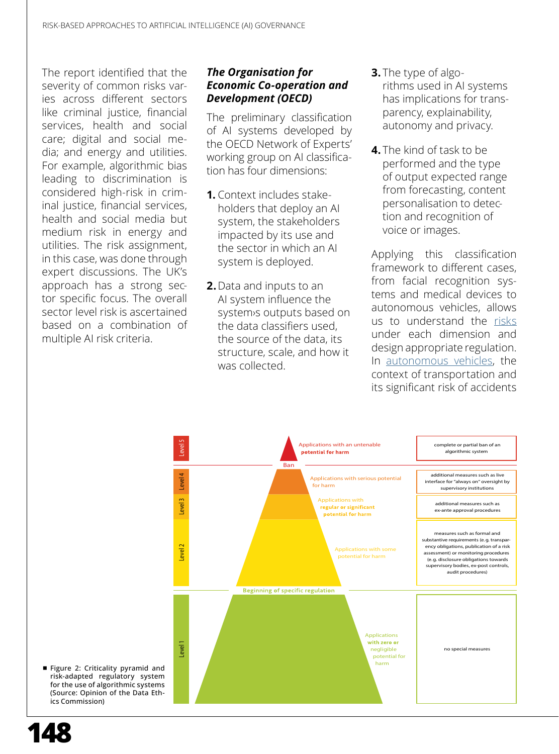The report identified that the severity of common risks varies across different sectors like criminal justice, financial services, health and social care; digital and social media; and energy and utilities. For example, algorithmic bias leading to discrimination is considered high-risk in criminal justice, financial services, health and social media but medium risk in energy and utilities. The risk assignment, in this case, was done through expert discussions. The UK's approach has a strong sector specific focus. The overall sector level risk is ascertained based on a combination of multiple AI risk criteria.

#### *The Organisation for Economic Co-operation and Development (OECD)*

The preliminary [classification](https://oecd.ai/wonk/a-first-look-at-the-oecds-framework-for-the-classification-of-ai-systems-for-policymakers) [of AI systems](https://oecd.ai/wonk/a-first-look-at-the-oecds-framework-for-the-classification-of-ai-systems-for-policymakers)  developed by the OECD Network of Experts' working group on AI classification has [four dimensions:](https://oecd.ai/wonk/oecd-ai-system-classification-year-of-progress-ai-governance)

- **1.** Context includes stakeholders that deploy an AI system, the stakeholders impacted by its use and the sector in which an AI system is deployed.
- **2.**Data and inputs to an AI system influence the system›s outputs based on the data classifiers used, the source of the data, its structure, scale, and how it was collected.
- **3.** The type of algorithms used in AI systems has implications for transparency, explainability, autonomy and privacy.
- **4.** The kind of task to be performed and the type of output expected range from forecasting, content personalisation to detection and recognition of voice or images.

Applying this classification framework to different cases, from facial recognition systems and medical devices to autonomous vehicles, allows us to understand the [risks](https://oecd.ai/wonk/oecd-ai-system-classification-year-of-progress-ai-governance) under each dimension and design appropriate regulation. In [autonomous vehicles](https://www.mckinsey.com/industries/automotive-and-assembly/our-insights/self-driving-car-technology-when-will-the-robots-hit-the-road/de-de), the context of transportation and its significant risk of accidents



■ Figure 2: Criticality pyramid and risk-adapted regulatory system for the use of algorithmic systems (Source: Opinion of the Data Ethics Commission)

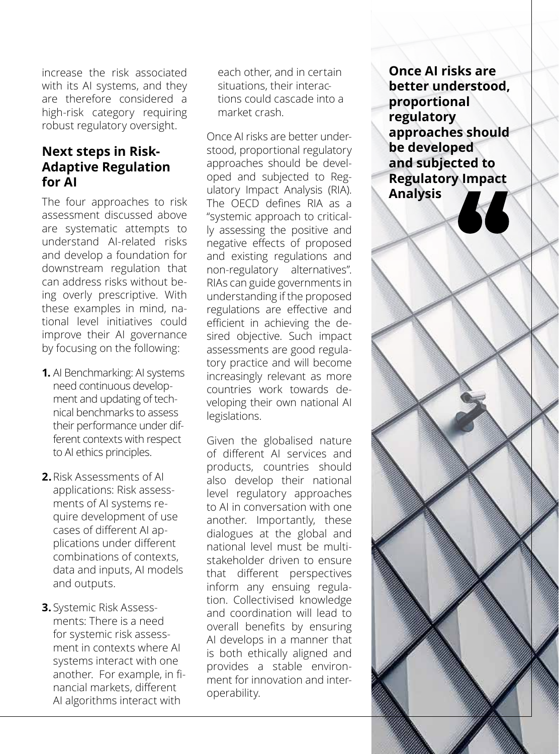increase the risk associated with its AI systems, and they are therefore considered a high-risk category requiring robust regulatory oversight.

# **Next steps in Risk-Adaptive Regulation for AI**

The four approaches to risk assessment discussed above are systematic attempts to understand AI-related risks and develop a foundation for downstream regulation that can address risks without being overly prescriptive. With these examples in mind, national level initiatives could improve their AI governance by focusing on the following:

- **1.** AI Benchmarking: AI systems need continuous [develop](https://aiindex.stanford.edu/report/)[ment and updating](https://aiindex.stanford.edu/report/) of technical benchmarks to assess their performance under different contexts with respect to AI ethics principles.
- **2.**Risk Assessments of AI applications: Risk assessments of AI systems require development of use cases of different AI applications under different combinations of contexts, data and inputs, AI models and outputs.
- **3.** Systemic Risk Assessments: There is a need for systemic risk assessment in contexts where AI systems interact with one another. For example, in [fi](https://www.wired.com/2010/12/ff-ai-flashtrading/)[nancial markets,](https://www.wired.com/2010/12/ff-ai-flashtrading/) different AI algorithms interact with

each other, and in certain situations, their interactions could cascade into a market crash.

Once AI risks are better understood, proportional regulatory approaches should be developed and subjected to Regulatory Impact Analysis (RIA). The OECD  [defines](https://www.oecd.org/regreform/regulatory-policy/ria.htm) RIA as a "systemic approach to critically assessing the positive and negative effects of proposed and existing regulations and non-regulatory alternatives". RIAs can guide governments in understanding if the proposed regulations are effective and efficient in achieving the desired objective. Such impact assessments are good regulatory practice and will become increasingly relevant as more countries work towards developing their own national AI legislations.

Given the globalised nature of different AI services and products, countries should also develop their national level regulatory approaches to AI in conversation with one another. Importantly, these dialogues at the global and national level must be multistakeholder driven to ensure that different perspectives inform any ensuing regulation. Collectivised knowledge and coordination will lead to overall benefits by ensuring AI develops in a manner that is both ethically aligned and provides a stable environment for innovation and interoperability.

**Once AI risks are better understood, proportional regulatory approaches should be developed and subjected to Regulatory Impact Analysis**

**1499**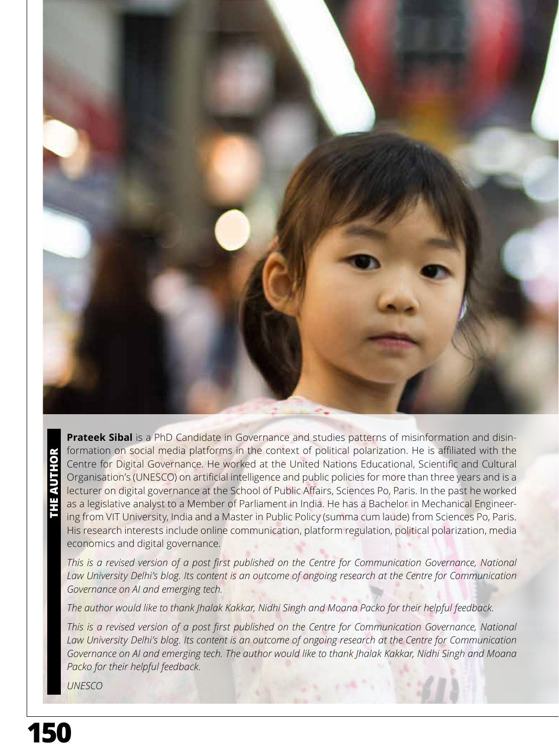

**THE AUTHOR**

**Prateek Sibal** is a PhD Candidate in Governance and studies patterns of misinformation and disinformation on social media platforms in the context of political polarization. He is affiliated with the Centre for Digital Governance. He worked at the United Nations Educational, Scientific and Cultural Organisation's (UNESCO) on artificial intelligence and public policies for more than three years and is a lecturer on digital governance at the School of Public Affairs, Sciences Po, Paris. In the past he worked as a legislative analyst to a Member of Parliament in India. He has a Bachelor in Mechanical Engineering from VIT University, India and a Master in Public Policy (summa cum laude) from Sciences Po, Paris. His research interests include online communication, platform regulation, political polarization, media economics and digital governance.

*This is a revised version of a post first published on the [Centre for Communication Governance,](https://ccgdelhi.org/)* National *Law University Delhi's [blog](https://ccgnludelhi.wordpress.com/). Its content is an outcome of ongoing research at the Centre for Communication Governance on AI and emerging tech.*

*The author would like to thank Jhalak Kakkar, Nidhi Singh and Moana Packo for their helpful feedback.*

*This is a revised version of a post first published on the [Centre for Communication Governance,](https://ccgdelhi.org/) National Law University Delhi's [blog](https://ccgnludelhi.wordpress.com/). Its content is an outcome of ongoing research at the Centre for Communication Governance on AI and emerging tech. The author would like to thank Jhalak Kakkar, Nidhi Singh and Moana Packo for their helpful feedback.*

*UNESCO*